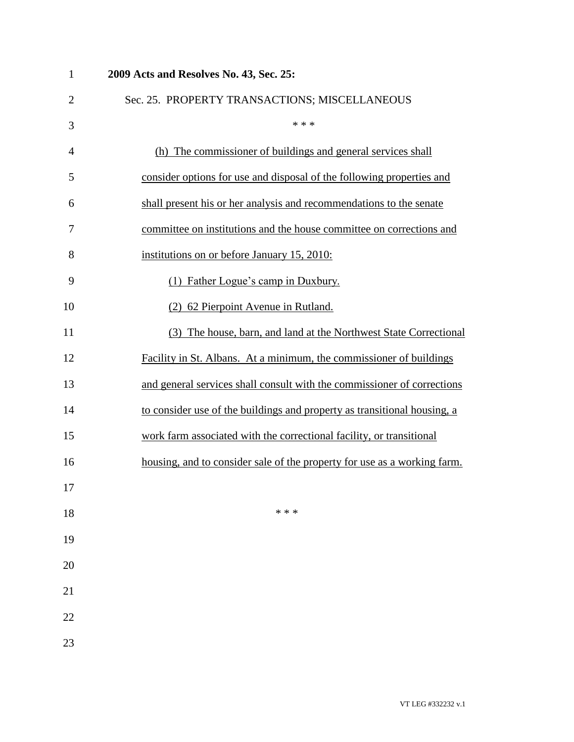| $\mathbf{1}$   | 2009 Acts and Resolves No. 43, Sec. 25:                                  |
|----------------|--------------------------------------------------------------------------|
| $\overline{2}$ | Sec. 25. PROPERTY TRANSACTIONS; MISCELLANEOUS                            |
| 3              | * * *                                                                    |
| 4              | (h) The commissioner of buildings and general services shall             |
| 5              | consider options for use and disposal of the following properties and    |
| 6              | shall present his or her analysis and recommendations to the senate      |
| 7              | committee on institutions and the house committee on corrections and     |
| 8              | institutions on or before January 15, 2010:                              |
| 9              | (1) Father Logue's camp in Duxbury.                                      |
| 10             | (2) 62 Pierpoint Avenue in Rutland.                                      |
| 11             | (3) The house, barn, and land at the Northwest State Correctional        |
| 12             | Facility in St. Albans. At a minimum, the commissioner of buildings      |
| 13             | and general services shall consult with the commissioner of corrections  |
| 14             | to consider use of the buildings and property as transitional housing, a |
| 15             | work farm associated with the correctional facility, or transitional     |
| 16             | housing, and to consider sale of the property for use as a working farm. |
| 17             |                                                                          |
| 18             | * * *                                                                    |
| 19             |                                                                          |
| 20             |                                                                          |
| 21             |                                                                          |
| 22             |                                                                          |
| 23             |                                                                          |